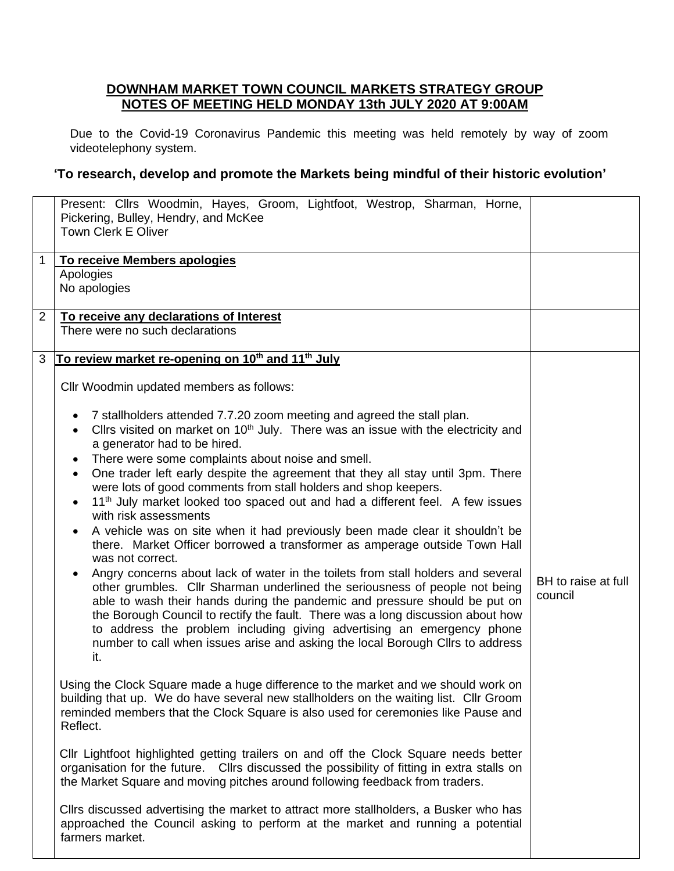## **DOWNHAM MARKET TOWN COUNCIL MARKETS STRATEGY GROUP NOTES OF MEETING HELD MONDAY 13th JULY 2020 AT 9:00AM**

Due to the Covid-19 Coronavirus Pandemic this meeting was held remotely by way of zoom videotelephony system.

## **'To research, develop and promote the Markets being mindful of their historic evolution'**

|                | Present: Cllrs Woodmin, Hayes, Groom, Lightfoot, Westrop, Sharman, Horne,<br>Pickering, Bulley, Hendry, and McKee<br><b>Town Clerk E Oliver</b> |                     |
|----------------|-------------------------------------------------------------------------------------------------------------------------------------------------|---------------------|
| $\mathbf 1$    | To receive Members apologies                                                                                                                    |                     |
|                |                                                                                                                                                 |                     |
|                | Apologies                                                                                                                                       |                     |
|                | No apologies                                                                                                                                    |                     |
|                |                                                                                                                                                 |                     |
| $\overline{2}$ | To receive any declarations of Interest                                                                                                         |                     |
|                | There were no such declarations                                                                                                                 |                     |
|                |                                                                                                                                                 |                     |
|                |                                                                                                                                                 |                     |
| 3              | To review market re-opening on 10 <sup>th</sup> and 11 <sup>th</sup> July                                                                       |                     |
|                |                                                                                                                                                 |                     |
|                | Cllr Woodmin updated members as follows:                                                                                                        |                     |
|                |                                                                                                                                                 |                     |
|                |                                                                                                                                                 |                     |
|                | 7 stallholders attended 7.7.20 zoom meeting and agreed the stall plan.                                                                          |                     |
|                | Cllrs visited on market on 10 <sup>th</sup> July. There was an issue with the electricity and                                                   |                     |
|                |                                                                                                                                                 |                     |
|                | a generator had to be hired.                                                                                                                    |                     |
|                | There were some complaints about noise and smell.<br>$\bullet$                                                                                  |                     |
|                | One trader left early despite the agreement that they all stay until 3pm. There<br>$\bullet$                                                    |                     |
|                |                                                                                                                                                 |                     |
|                | were lots of good comments from stall holders and shop keepers.                                                                                 |                     |
|                | 11 <sup>th</sup> July market looked too spaced out and had a different feel. A few issues                                                       |                     |
|                | with risk assessments                                                                                                                           |                     |
|                |                                                                                                                                                 |                     |
|                | A vehicle was on site when it had previously been made clear it shouldn't be                                                                    |                     |
|                | there. Market Officer borrowed a transformer as amperage outside Town Hall                                                                      |                     |
|                | was not correct.                                                                                                                                |                     |
|                |                                                                                                                                                 |                     |
|                | Angry concerns about lack of water in the toilets from stall holders and several                                                                | BH to raise at full |
|                | other grumbles. Cllr Sharman underlined the seriousness of people not being                                                                     |                     |
|                | able to wash their hands during the pandemic and pressure should be put on                                                                      | council             |
|                |                                                                                                                                                 |                     |
|                | the Borough Council to rectify the fault. There was a long discussion about how                                                                 |                     |
|                | to address the problem including giving advertising an emergency phone                                                                          |                     |
|                | number to call when issues arise and asking the local Borough Cllrs to address                                                                  |                     |
|                | it.                                                                                                                                             |                     |
|                |                                                                                                                                                 |                     |
|                |                                                                                                                                                 |                     |
|                | Using the Clock Square made a huge difference to the market and we should work on                                                               |                     |
|                | building that up. We do have several new stallholders on the waiting list. Cllr Groom                                                           |                     |
|                |                                                                                                                                                 |                     |
|                | reminded members that the Clock Square is also used for ceremonies like Pause and                                                               |                     |
|                | Reflect.                                                                                                                                        |                     |
|                |                                                                                                                                                 |                     |
|                | CIIr Lightfoot highlighted getting trailers on and off the Clock Square needs better                                                            |                     |
|                |                                                                                                                                                 |                     |
|                | organisation for the future. Cllrs discussed the possibility of fitting in extra stalls on                                                      |                     |
|                | the Market Square and moving pitches around following feedback from traders.                                                                    |                     |
|                |                                                                                                                                                 |                     |
|                | Cllrs discussed advertising the market to attract more stallholders, a Busker who has                                                           |                     |
|                |                                                                                                                                                 |                     |
|                | approached the Council asking to perform at the market and running a potential                                                                  |                     |
|                | farmers market.                                                                                                                                 |                     |